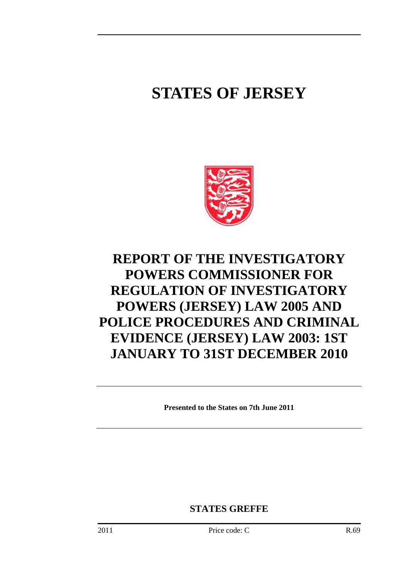# **STATES OF JERSEY**



# **REPORT OF THE INVESTIGATORY POWERS COMMISSIONER FOR REGULATION OF INVESTIGATORY POWERS (JERSEY) LAW 2005 AND POLICE PROCEDURES AND CRIMINAL EVIDENCE (JERSEY) LAW 2003: 1ST JANUARY TO 31ST DECEMBER 2010**

**Presented to the States on 7th June 2011** 

**STATES GREFFE**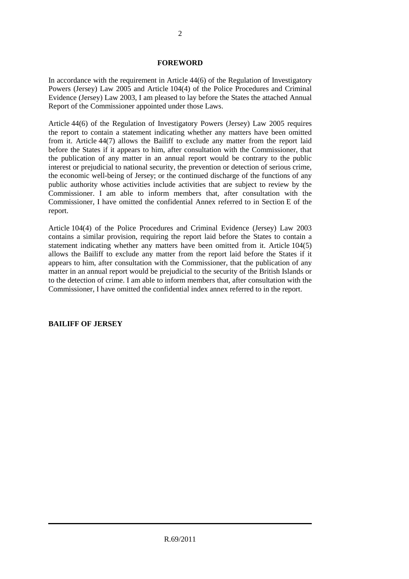#### **FOREWORD**

In accordance with the requirement in Article 44(6) of the Regulation of Investigatory Powers (Jersey) Law 2005 and Article 104(4) of the Police Procedures and Criminal Evidence (Jersey) Law 2003, I am pleased to lay before the States the attached Annual Report of the Commissioner appointed under those Laws.

Article 44(6) of the Regulation of Investigatory Powers (Jersey) Law 2005 requires the report to contain a statement indicating whether any matters have been omitted from it. Article 44(7) allows the Bailiff to exclude any matter from the report laid before the States if it appears to him, after consultation with the Commissioner, that the publication of any matter in an annual report would be contrary to the public interest or prejudicial to national security, the prevention or detection of serious crime, the economic well-being of Jersey; or the continued discharge of the functions of any public authority whose activities include activities that are subject to review by the Commissioner. I am able to inform members that, after consultation with the Commissioner, I have omitted the confidential Annex referred to in Section E of the report.

Article 104(4) of the Police Procedures and Criminal Evidence (Jersey) Law 2003 contains a similar provision, requiring the report laid before the States to contain a statement indicating whether any matters have been omitted from it. Article 104(5) allows the Bailiff to exclude any matter from the report laid before the States if it appears to him, after consultation with the Commissioner, that the publication of any matter in an annual report would be prejudicial to the security of the British Islands or to the detection of crime. I am able to inform members that, after consultation with the Commissioner, I have omitted the confidential index annex referred to in the report.

# **BAILIFF OF JERSEY**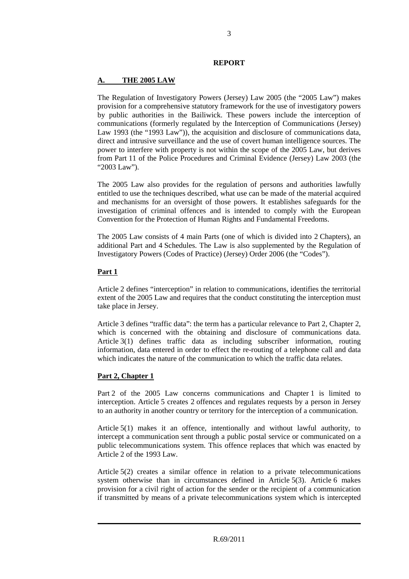#### **REPORT**

# **A. THE 2005 LAW**

The Regulation of Investigatory Powers (Jersey) Law 2005 (the "2005 Law") makes provision for a comprehensive statutory framework for the use of investigatory powers by public authorities in the Bailiwick. These powers include the interception of communications (formerly regulated by the Interception of Communications (Jersey) Law 1993 (the "1993 Law")), the acquisition and disclosure of communications data, direct and intrusive surveillance and the use of covert human intelligence sources. The power to interfere with property is not within the scope of the 2005 Law, but derives from Part 11 of the Police Procedures and Criminal Evidence (Jersey) Law 2003 (the "2003 Law").

The 2005 Law also provides for the regulation of persons and authorities lawfully entitled to use the techniques described, what use can be made of the material acquired and mechanisms for an oversight of those powers. It establishes safeguards for the investigation of criminal offences and is intended to comply with the European Convention for the Protection of Human Rights and Fundamental Freedoms.

The 2005 Law consists of 4 main Parts (one of which is divided into 2 Chapters), an additional Part and 4 Schedules. The Law is also supplemented by the Regulation of Investigatory Powers (Codes of Practice) (Jersey) Order 2006 (the "Codes").

# **Part 1**

Article 2 defines "interception" in relation to communications, identifies the territorial extent of the 2005 Law and requires that the conduct constituting the interception must take place in Jersey.

Article 3 defines "traffic data": the term has a particular relevance to Part 2, Chapter 2, which is concerned with the obtaining and disclosure of communications data. Article 3(1) defines traffic data as including subscriber information, routing information, data entered in order to effect the re-routing of a telephone call and data which indicates the nature of the communication to which the traffic data relates.

# **Part 2, Chapter 1**

Part 2 of the 2005 Law concerns communications and Chapter 1 is limited to interception. Article 5 creates 2 offences and regulates requests by a person in Jersey to an authority in another country or territory for the interception of a communication.

Article 5(1) makes it an offence, intentionally and without lawful authority, to intercept a communication sent through a public postal service or communicated on a public telecommunications system. This offence replaces that which was enacted by Article 2 of the 1993 Law.

Article 5(2) creates a similar offence in relation to a private telecommunications system otherwise than in circumstances defined in Article 5(3). Article 6 makes provision for a civil right of action for the sender or the recipient of a communication if transmitted by means of a private telecommunications system which is intercepted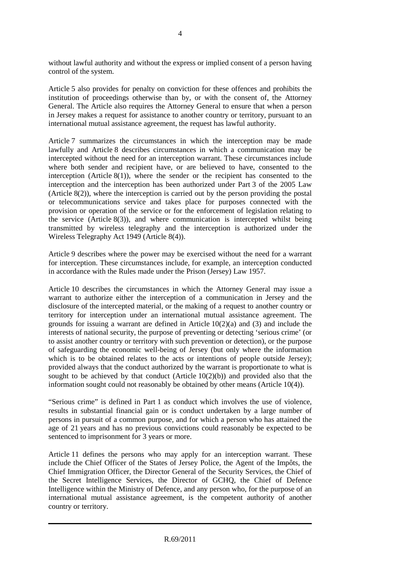without lawful authority and without the express or implied consent of a person having control of the system.

Article 5 also provides for penalty on conviction for these offences and prohibits the institution of proceedings otherwise than by, or with the consent of, the Attorney General. The Article also requires the Attorney General to ensure that when a person in Jersey makes a request for assistance to another country or territory, pursuant to an international mutual assistance agreement, the request has lawful authority.

Article 7 summarizes the circumstances in which the interception may be made lawfully and Article 8 describes circumstances in which a communication may be intercepted without the need for an interception warrant. These circumstances include where both sender and recipient have, or are believed to have, consented to the interception (Article  $8(1)$ ), where the sender or the recipient has consented to the interception and the interception has been authorized under Part 3 of the 2005 Law (Article  $8(2)$ ), where the interception is carried out by the person providing the postal or telecommunications service and takes place for purposes connected with the provision or operation of the service or for the enforcement of legislation relating to the service (Article  $8(3)$ ), and where communication is intercepted whilst being transmitted by wireless telegraphy and the interception is authorized under the Wireless Telegraphy Act 1949 (Article 8(4)).

Article 9 describes where the power may be exercised without the need for a warrant for interception. These circumstances include, for example, an interception conducted in accordance with the Rules made under the Prison (Jersey) Law 1957.

Article 10 describes the circumstances in which the Attorney General may issue a warrant to authorize either the interception of a communication in Jersey and the disclosure of the intercepted material, or the making of a request to another country or territory for interception under an international mutual assistance agreement. The grounds for issuing a warrant are defined in Article  $10(2)(a)$  and  $(3)$  and include the interests of national security, the purpose of preventing or detecting 'serious crime' (or to assist another country or territory with such prevention or detection), or the purpose of safeguarding the economic well-being of Jersey (but only where the information which is to be obtained relates to the acts or intentions of people outside Jersey); provided always that the conduct authorized by the warrant is proportionate to what is sought to be achieved by that conduct (Article  $10(2)(b)$ ) and provided also that the information sought could not reasonably be obtained by other means (Article 10(4)).

"Serious crime" is defined in Part 1 as conduct which involves the use of violence, results in substantial financial gain or is conduct undertaken by a large number of persons in pursuit of a common purpose, and for which a person who has attained the age of 21 years and has no previous convictions could reasonably be expected to be sentenced to imprisonment for 3 years or more.

Article 11 defines the persons who may apply for an interception warrant. These include the Chief Officer of the States of Jersey Police, the Agent of the Impôts, the Chief Immigration Officer, the Director General of the Security Services, the Chief of the Secret Intelligence Services, the Director of GCHQ, the Chief of Defence Intelligence within the Ministry of Defence, and any person who, for the purpose of an international mutual assistance agreement, is the competent authority of another country or territory.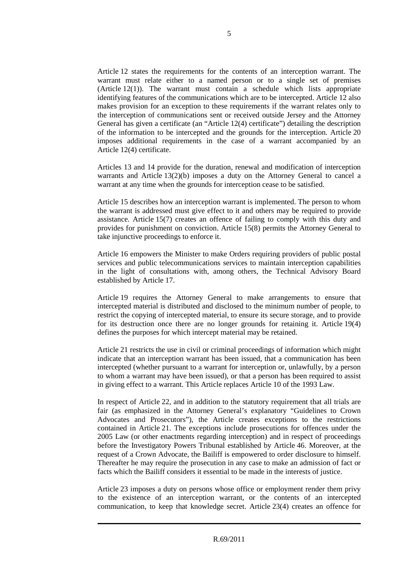Article 12 states the requirements for the contents of an interception warrant. The warrant must relate either to a named person or to a single set of premises (Article 12(1)). The warrant must contain a schedule which lists appropriate identifying features of the communications which are to be intercepted. Article 12 also makes provision for an exception to these requirements if the warrant relates only to the interception of communications sent or received outside Jersey and the Attorney General has given a certificate (an "Article 12(4) certificate") detailing the description of the information to be intercepted and the grounds for the interception. Article 20 imposes additional requirements in the case of a warrant accompanied by an Article 12(4) certificate.

Articles 13 and 14 provide for the duration, renewal and modification of interception warrants and Article 13(2)(b) imposes a duty on the Attorney General to cancel a warrant at any time when the grounds for interception cease to be satisfied.

Article 15 describes how an interception warrant is implemented. The person to whom the warrant is addressed must give effect to it and others may be required to provide assistance. Article 15(7) creates an offence of failing to comply with this duty and provides for punishment on conviction. Article 15(8) permits the Attorney General to take injunctive proceedings to enforce it.

Article 16 empowers the Minister to make Orders requiring providers of public postal services and public telecommunications services to maintain interception capabilities in the light of consultations with, among others, the Technical Advisory Board established by Article 17.

Article 19 requires the Attorney General to make arrangements to ensure that intercepted material is distributed and disclosed to the minimum number of people, to restrict the copying of intercepted material, to ensure its secure storage, and to provide for its destruction once there are no longer grounds for retaining it. Article 19(4) defines the purposes for which intercept material may be retained.

Article 21 restricts the use in civil or criminal proceedings of information which might indicate that an interception warrant has been issued, that a communication has been intercepted (whether pursuant to a warrant for interception or, unlawfully, by a person to whom a warrant may have been issued), or that a person has been required to assist in giving effect to a warrant. This Article replaces Article 10 of the 1993 Law.

In respect of Article 22, and in addition to the statutory requirement that all trials are fair (as emphasized in the Attorney General's explanatory "Guidelines to Crown Advocates and Prosecutors"), the Article creates exceptions to the restrictions contained in Article 21. The exceptions include prosecutions for offences under the 2005 Law (or other enactments regarding interception) and in respect of proceedings before the Investigatory Powers Tribunal established by Article 46. Moreover, at the request of a Crown Advocate, the Bailiff is empowered to order disclosure to himself. Thereafter he may require the prosecution in any case to make an admission of fact or facts which the Bailiff considers it essential to be made in the interests of justice.

Article 23 imposes a duty on persons whose office or employment render them privy to the existence of an interception warrant, or the contents of an intercepted communication, to keep that knowledge secret. Article 23(4) creates an offence for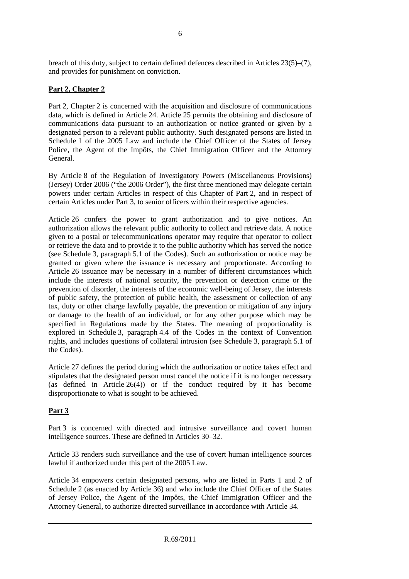breach of this duty, subject to certain defined defences described in Articles 23(5)–(7), and provides for punishment on conviction.

# **Part 2, Chapter 2**

Part 2, Chapter 2 is concerned with the acquisition and disclosure of communications data, which is defined in Article 24. Article 25 permits the obtaining and disclosure of communications data pursuant to an authorization or notice granted or given by a designated person to a relevant public authority. Such designated persons are listed in Schedule 1 of the 2005 Law and include the Chief Officer of the States of Jersey Police, the Agent of the Impôts, the Chief Immigration Officer and the Attorney General.

By Article 8 of the Regulation of Investigatory Powers (Miscellaneous Provisions) (Jersey) Order 2006 ("the 2006 Order"), the first three mentioned may delegate certain powers under certain Articles in respect of this Chapter of Part 2, and in respect of certain Articles under Part 3, to senior officers within their respective agencies.

Article 26 confers the power to grant authorization and to give notices. An authorization allows the relevant public authority to collect and retrieve data. A notice given to a postal or telecommunications operator may require that operator to collect or retrieve the data and to provide it to the public authority which has served the notice (see Schedule 3, paragraph 5.1 of the Codes). Such an authorization or notice may be granted or given where the issuance is necessary and proportionate. According to Article 26 issuance may be necessary in a number of different circumstances which include the interests of national security, the prevention or detection crime or the prevention of disorder, the interests of the economic well-being of Jersey, the interests of public safety, the protection of public health, the assessment or collection of any tax, duty or other charge lawfully payable, the prevention or mitigation of any injury or damage to the health of an individual, or for any other purpose which may be specified in Regulations made by the States. The meaning of proportionality is explored in Schedule 3, paragraph 4.4 of the Codes in the context of Convention rights, and includes questions of collateral intrusion (see Schedule 3, paragraph 5.1 of the Codes).

Article 27 defines the period during which the authorization or notice takes effect and stipulates that the designated person must cancel the notice if it is no longer necessary (as defined in Article 26(4)) or if the conduct required by it has become disproportionate to what is sought to be achieved.

# **Part 3**

Part 3 is concerned with directed and intrusive surveillance and covert human intelligence sources. These are defined in Articles 30–32.

Article 33 renders such surveillance and the use of covert human intelligence sources lawful if authorized under this part of the 2005 Law.

Article 34 empowers certain designated persons, who are listed in Parts 1 and 2 of Schedule 2 (as enacted by Article 36) and who include the Chief Officer of the States of Jersey Police, the Agent of the Impôts, the Chief Immigration Officer and the Attorney General, to authorize directed surveillance in accordance with Article 34.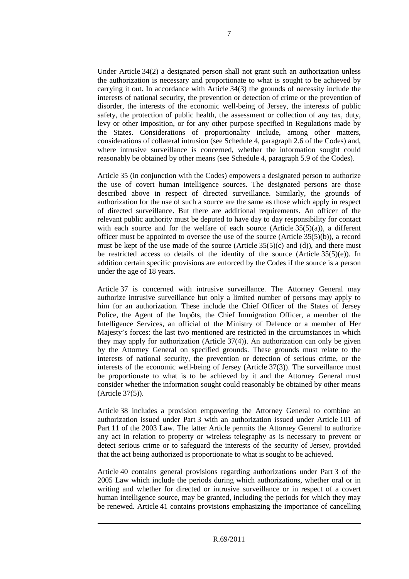Under Article 34(2) a designated person shall not grant such an authorization unless the authorization is necessary and proportionate to what is sought to be achieved by carrying it out. In accordance with Article 34(3) the grounds of necessity include the interests of national security, the prevention or detection of crime or the prevention of disorder, the interests of the economic well-being of Jersey, the interests of public safety, the protection of public health, the assessment or collection of any tax, duty, levy or other imposition, or for any other purpose specified in Regulations made by the States. Considerations of proportionality include, among other matters, considerations of collateral intrusion (see Schedule 4, paragraph 2.6 of the Codes) and, where intrusive surveillance is concerned, whether the information sought could reasonably be obtained by other means (see Schedule 4, paragraph 5.9 of the Codes).

Article 35 (in conjunction with the Codes) empowers a designated person to authorize the use of covert human intelligence sources. The designated persons are those described above in respect of directed surveillance. Similarly, the grounds of authorization for the use of such a source are the same as those which apply in respect of directed surveillance. But there are additional requirements. An officer of the relevant public authority must be deputed to have day to day responsibility for contact with each source and for the welfare of each source (Article  $35(5)(a)$ ), a different officer must be appointed to oversee the use of the source (Article 35(5)(b)), a record must be kept of the use made of the source (Article  $35(5)(c)$  and (d)), and there must be restricted access to details of the identity of the source (Article  $35(5)(e)$ ). In addition certain specific provisions are enforced by the Codes if the source is a person under the age of 18 years.

Article 37 is concerned with intrusive surveillance. The Attorney General may authorize intrusive surveillance but only a limited number of persons may apply to him for an authorization. These include the Chief Officer of the States of Jersey Police, the Agent of the Impôts, the Chief Immigration Officer, a member of the Intelligence Services, an official of the Ministry of Defence or a member of Her Majesty's forces: the last two mentioned are restricted in the circumstances in which they may apply for authorization (Article 37(4)). An authorization can only be given by the Attorney General on specified grounds. These grounds must relate to the interests of national security, the prevention or detection of serious crime, or the interests of the economic well-being of Jersey (Article 37(3)). The surveillance must be proportionate to what is to be achieved by it and the Attorney General must consider whether the information sought could reasonably be obtained by other means (Article 37(5)).

Article 38 includes a provision empowering the Attorney General to combine an authorization issued under Part 3 with an authorization issued under Article 101 of Part 11 of the 2003 Law. The latter Article permits the Attorney General to authorize any act in relation to property or wireless telegraphy as is necessary to prevent or detect serious crime or to safeguard the interests of the security of Jersey, provided that the act being authorized is proportionate to what is sought to be achieved.

Article 40 contains general provisions regarding authorizations under Part 3 of the 2005 Law which include the periods during which authorizations, whether oral or in writing and whether for directed or intrusive surveillance or in respect of a covert human intelligence source, may be granted, including the periods for which they may be renewed. Article 41 contains provisions emphasizing the importance of cancelling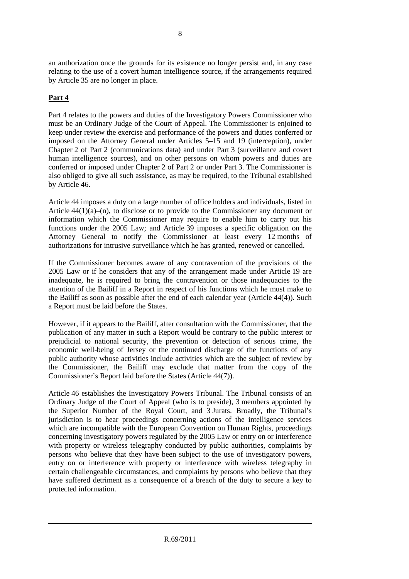an authorization once the grounds for its existence no longer persist and, in any case relating to the use of a covert human intelligence source, if the arrangements required by Article 35 are no longer in place.

# **Part 4**

Part 4 relates to the powers and duties of the Investigatory Powers Commissioner who must be an Ordinary Judge of the Court of Appeal. The Commissioner is enjoined to keep under review the exercise and performance of the powers and duties conferred or imposed on the Attorney General under Articles 5–15 and 19 (interception), under Chapter 2 of Part 2 (communications data) and under Part 3 (surveillance and covert human intelligence sources), and on other persons on whom powers and duties are conferred or imposed under Chapter 2 of Part 2 or under Part 3. The Commissioner is also obliged to give all such assistance, as may be required, to the Tribunal established by Article 46.

Article 44 imposes a duty on a large number of office holders and individuals, listed in Article  $44(1)(a)$ –(n), to disclose or to provide to the Commissioner any document or information which the Commissioner may require to enable him to carry out his functions under the 2005 Law; and Article 39 imposes a specific obligation on the Attorney General to notify the Commissioner at least every 12 months of authorizations for intrusive surveillance which he has granted, renewed or cancelled.

If the Commissioner becomes aware of any contravention of the provisions of the 2005 Law or if he considers that any of the arrangement made under Article 19 are inadequate, he is required to bring the contravention or those inadequacies to the attention of the Bailiff in a Report in respect of his functions which he must make to the Bailiff as soon as possible after the end of each calendar year (Article 44(4)). Such a Report must be laid before the States.

However, if it appears to the Bailiff, after consultation with the Commissioner, that the publication of any matter in such a Report would be contrary to the public interest or prejudicial to national security, the prevention or detection of serious crime, the economic well-being of Jersey or the continued discharge of the functions of any public authority whose activities include activities which are the subject of review by the Commissioner, the Bailiff may exclude that matter from the copy of the Commissioner's Report laid before the States (Article 44(7)).

Article 46 establishes the Investigatory Powers Tribunal. The Tribunal consists of an Ordinary Judge of the Court of Appeal (who is to preside), 3 members appointed by the Superior Number of the Royal Court, and 3 Jurats. Broadly, the Tribunal's jurisdiction is to hear proceedings concerning actions of the intelligence services which are incompatible with the European Convention on Human Rights, proceedings concerning investigatory powers regulated by the 2005 Law or entry on or interference with property or wireless telegraphy conducted by public authorities, complaints by persons who believe that they have been subject to the use of investigatory powers, entry on or interference with property or interference with wireless telegraphy in certain challengeable circumstances, and complaints by persons who believe that they have suffered detriment as a consequence of a breach of the duty to secure a key to protected information.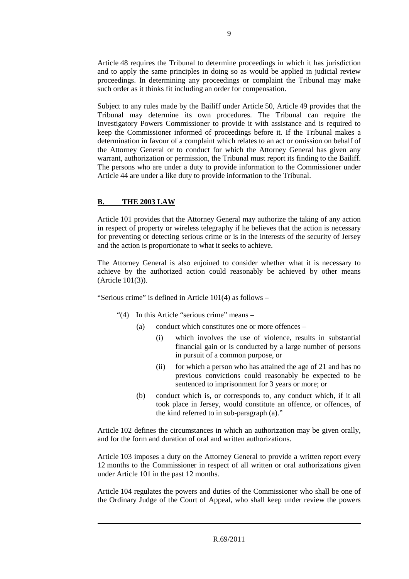Article 48 requires the Tribunal to determine proceedings in which it has jurisdiction and to apply the same principles in doing so as would be applied in judicial review proceedings. In determining any proceedings or complaint the Tribunal may make such order as it thinks fit including an order for compensation.

Subject to any rules made by the Bailiff under Article 50, Article 49 provides that the Tribunal may determine its own procedures. The Tribunal can require the Investigatory Powers Commissioner to provide it with assistance and is required to keep the Commissioner informed of proceedings before it. If the Tribunal makes a determination in favour of a complaint which relates to an act or omission on behalf of the Attorney General or to conduct for which the Attorney General has given any warrant, authorization or permission, the Tribunal must report its finding to the Bailiff. The persons who are under a duty to provide information to the Commissioner under Article 44 are under a like duty to provide information to the Tribunal.

# **B. THE 2003 LAW**

Article 101 provides that the Attorney General may authorize the taking of any action in respect of property or wireless telegraphy if he believes that the action is necessary for preventing or detecting serious crime or is in the interests of the security of Jersey and the action is proportionate to what it seeks to achieve.

The Attorney General is also enjoined to consider whether what it is necessary to achieve by the authorized action could reasonably be achieved by other means (Article 101(3)).

"Serious crime" is defined in Article 101(4) as follows –

- "(4) In this Article "serious crime" means
	- (a) conduct which constitutes one or more offences
		- (i) which involves the use of violence, results in substantial financial gain or is conducted by a large number of persons in pursuit of a common purpose, or
		- (ii) for which a person who has attained the age of 21 and has no previous convictions could reasonably be expected to be sentenced to imprisonment for 3 years or more; or
	- (b) conduct which is, or corresponds to, any conduct which, if it all took place in Jersey, would constitute an offence, or offences, of the kind referred to in sub-paragraph (a)."

Article 102 defines the circumstances in which an authorization may be given orally, and for the form and duration of oral and written authorizations.

Article 103 imposes a duty on the Attorney General to provide a written report every 12 months to the Commissioner in respect of all written or oral authorizations given under Article 101 in the past 12 months.

Article 104 regulates the powers and duties of the Commissioner who shall be one of the Ordinary Judge of the Court of Appeal, who shall keep under review the powers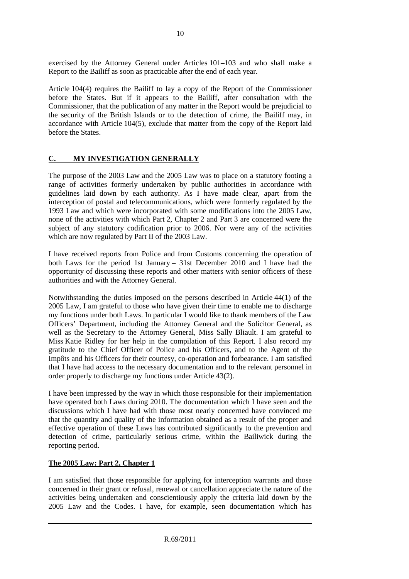exercised by the Attorney General under Articles 101–103 and who shall make a Report to the Bailiff as soon as practicable after the end of each year.

Article 104(4) requires the Bailiff to lay a copy of the Report of the Commissioner before the States. But if it appears to the Bailiff, after consultation with the Commissioner, that the publication of any matter in the Report would be prejudicial to the security of the British Islands or to the detection of crime, the Bailiff may, in accordance with Article 104(5), exclude that matter from the copy of the Report laid before the States.

# **C. MY INVESTIGATION GENERALLY**

The purpose of the 2003 Law and the 2005 Law was to place on a statutory footing a range of activities formerly undertaken by public authorities in accordance with guidelines laid down by each authority. As I have made clear, apart from the interception of postal and telecommunications, which were formerly regulated by the 1993 Law and which were incorporated with some modifications into the 2005 Law, none of the activities with which Part 2, Chapter 2 and Part 3 are concerned were the subject of any statutory codification prior to 2006. Nor were any of the activities which are now regulated by Part II of the 2003 Law.

I have received reports from Police and from Customs concerning the operation of both Laws for the period 1st January – 31st December 2010 and I have had the opportunity of discussing these reports and other matters with senior officers of these authorities and with the Attorney General.

Notwithstanding the duties imposed on the persons described in Article 44(1) of the 2005 Law, I am grateful to those who have given their time to enable me to discharge my functions under both Laws. In particular I would like to thank members of the Law Officers' Department, including the Attorney General and the Solicitor General, as well as the Secretary to the Attorney General, Miss Sally Bliault. I am grateful to Miss Katie Ridley for her help in the compilation of this Report. I also record my gratitude to the Chief Officer of Police and his Officers, and to the Agent of the Impôts and his Officers for their courtesy, co-operation and forbearance. I am satisfied that I have had access to the necessary documentation and to the relevant personnel in order properly to discharge my functions under Article 43(2).

I have been impressed by the way in which those responsible for their implementation have operated both Laws during 2010. The documentation which I have seen and the discussions which I have had with those most nearly concerned have convinced me that the quantity and quality of the information obtained as a result of the proper and effective operation of these Laws has contributed significantly to the prevention and detection of crime, particularly serious crime, within the Bailiwick during the reporting period.

# **The 2005 Law: Part 2, Chapter 1**

I am satisfied that those responsible for applying for interception warrants and those concerned in their grant or refusal, renewal or cancellation appreciate the nature of the activities being undertaken and conscientiously apply the criteria laid down by the 2005 Law and the Codes. I have, for example, seen documentation which has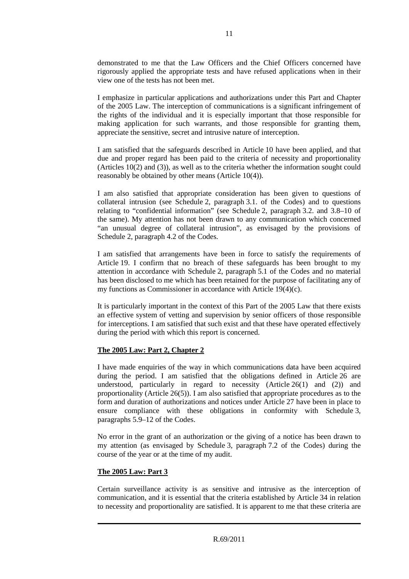demonstrated to me that the Law Officers and the Chief Officers concerned have rigorously applied the appropriate tests and have refused applications when in their view one of the tests has not been met.

I emphasize in particular applications and authorizations under this Part and Chapter of the 2005 Law. The interception of communications is a significant infringement of the rights of the individual and it is especially important that those responsible for making application for such warrants, and those responsible for granting them, appreciate the sensitive, secret and intrusive nature of interception.

I am satisfied that the safeguards described in Article 10 have been applied, and that due and proper regard has been paid to the criteria of necessity and proportionality (Articles 10(2) and (3)), as well as to the criteria whether the information sought could reasonably be obtained by other means (Article 10(4)).

I am also satisfied that appropriate consideration has been given to questions of collateral intrusion (see Schedule 2, paragraph 3.1. of the Codes) and to questions relating to "confidential information" (see Schedule 2, paragraph 3.2. and 3.8–10 of the same). My attention has not been drawn to any communication which concerned "an unusual degree of collateral intrusion", as envisaged by the provisions of Schedule 2, paragraph 4.2 of the Codes.

I am satisfied that arrangements have been in force to satisfy the requirements of Article 19. I confirm that no breach of these safeguards has been brought to my attention in accordance with Schedule 2, paragraph 5.1 of the Codes and no material has been disclosed to me which has been retained for the purpose of facilitating any of my functions as Commissioner in accordance with Article 19(4)(c).

It is particularly important in the context of this Part of the 2005 Law that there exists an effective system of vetting and supervision by senior officers of those responsible for interceptions. I am satisfied that such exist and that these have operated effectively during the period with which this report is concerned.

#### **The 2005 Law: Part 2, Chapter 2**

I have made enquiries of the way in which communications data have been acquired during the period. I am satisfied that the obligations defined in Article 26 are understood, particularly in regard to necessity (Article 26(1) and (2)) and proportionality (Article 26(5)). I am also satisfied that appropriate procedures as to the form and duration of authorizations and notices under Article 27 have been in place to ensure compliance with these obligations in conformity with Schedule 3, paragraphs 5.9–12 of the Codes.

No error in the grant of an authorization or the giving of a notice has been drawn to my attention (as envisaged by Schedule 3, paragraph 7.2 of the Codes) during the course of the year or at the time of my audit.

#### **The 2005 Law: Part 3**

Certain surveillance activity is as sensitive and intrusive as the interception of communication, and it is essential that the criteria established by Article 34 in relation to necessity and proportionality are satisfied. It is apparent to me that these criteria are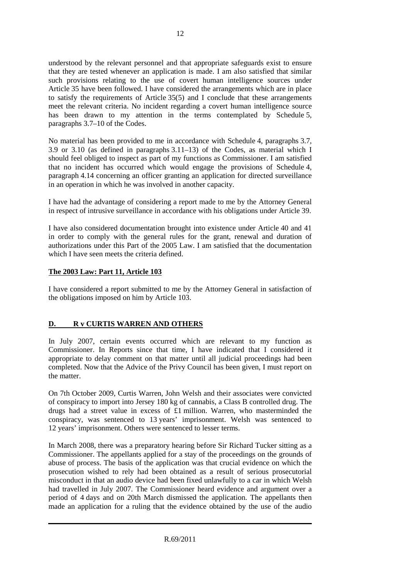understood by the relevant personnel and that appropriate safeguards exist to ensure that they are tested whenever an application is made. I am also satisfied that similar such provisions relating to the use of covert human intelligence sources under Article 35 have been followed. I have considered the arrangements which are in place to satisfy the requirements of Article 35(5) and I conclude that these arrangements meet the relevant criteria. No incident regarding a covert human intelligence source has been drawn to my attention in the terms contemplated by Schedule 5, paragraphs 3.7–10 of the Codes.

No material has been provided to me in accordance with Schedule 4, paragraphs 3.7, 3.9 or 3.10 (as defined in paragraphs 3.11–13) of the Codes, as material which I should feel obliged to inspect as part of my functions as Commissioner. I am satisfied that no incident has occurred which would engage the provisions of Schedule 4, paragraph 4.14 concerning an officer granting an application for directed surveillance in an operation in which he was involved in another capacity.

I have had the advantage of considering a report made to me by the Attorney General in respect of intrusive surveillance in accordance with his obligations under Article 39.

I have also considered documentation brought into existence under Article 40 and 41 in order to comply with the general rules for the grant, renewal and duration of authorizations under this Part of the 2005 Law. I am satisfied that the documentation which I have seen meets the criteria defined.

# **The 2003 Law: Part 11, Article 103**

I have considered a report submitted to me by the Attorney General in satisfaction of the obligations imposed on him by Article 103.

# **D. R v CURTIS WARREN AND OTHERS**

In July 2007, certain events occurred which are relevant to my function as Commissioner. In Reports since that time, I have indicated that I considered it appropriate to delay comment on that matter until all judicial proceedings had been completed. Now that the Advice of the Privy Council has been given, I must report on the matter.

On 7th October 2009, Curtis Warren, John Welsh and their associates were convicted of conspiracy to import into Jersey 180 kg of cannabis, a Class B controlled drug. The drugs had a street value in excess of £1 million. Warren, who masterminded the conspiracy, was sentenced to 13 years' imprisonment. Welsh was sentenced to 12 years' imprisonment. Others were sentenced to lesser terms.

In March 2008, there was a preparatory hearing before Sir Richard Tucker sitting as a Commissioner. The appellants applied for a stay of the proceedings on the grounds of abuse of process. The basis of the application was that crucial evidence on which the prosecution wished to rely had been obtained as a result of serious prosecutorial misconduct in that an audio device had been fixed unlawfully to a car in which Welsh had travelled in July 2007. The Commissioner heard evidence and argument over a period of 4 days and on 20th March dismissed the application. The appellants then made an application for a ruling that the evidence obtained by the use of the audio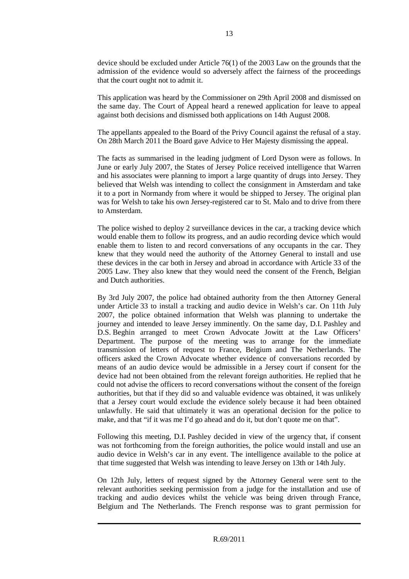device should be excluded under Article 76(1) of the 2003 Law on the grounds that the admission of the evidence would so adversely affect the fairness of the proceedings that the court ought not to admit it.

This application was heard by the Commissioner on 29th April 2008 and dismissed on the same day. The Court of Appeal heard a renewed application for leave to appeal against both decisions and dismissed both applications on 14th August 2008.

The appellants appealed to the Board of the Privy Council against the refusal of a stay. On 28th March 2011 the Board gave Advice to Her Majesty dismissing the appeal.

The facts as summarised in the leading judgment of Lord Dyson were as follows. In June or early July 2007, the States of Jersey Police received intelligence that Warren and his associates were planning to import a large quantity of drugs into Jersey. They believed that Welsh was intending to collect the consignment in Amsterdam and take it to a port in Normandy from where it would be shipped to Jersey. The original plan was for Welsh to take his own Jersey-registered car to St. Malo and to drive from there to Amsterdam.

The police wished to deploy 2 surveillance devices in the car, a tracking device which would enable them to follow its progress, and an audio recording device which would enable them to listen to and record conversations of any occupants in the car. They knew that they would need the authority of the Attorney General to install and use these devices in the car both in Jersey and abroad in accordance with Article 33 of the 2005 Law. They also knew that they would need the consent of the French, Belgian and Dutch authorities.

By 3rd July 2007, the police had obtained authority from the then Attorney General under Article 33 to install a tracking and audio device in Welsh's car. On 11th July 2007, the police obtained information that Welsh was planning to undertake the journey and intended to leave Jersey imminently. On the same day, D.I. Pashley and D.S. Beghin arranged to meet Crown Advocate Jowitt at the Law Officers' Department. The purpose of the meeting was to arrange for the immediate transmission of letters of request to France, Belgium and The Netherlands. The officers asked the Crown Advocate whether evidence of conversations recorded by means of an audio device would be admissible in a Jersey court if consent for the device had not been obtained from the relevant foreign authorities. He replied that he could not advise the officers to record conversations without the consent of the foreign authorities, but that if they did so and valuable evidence was obtained, it was unlikely that a Jersey court would exclude the evidence solely because it had been obtained unlawfully. He said that ultimately it was an operational decision for the police to make, and that "if it was me I'd go ahead and do it, but don't quote me on that".

Following this meeting, D.I. Pashley decided in view of the urgency that, if consent was not forthcoming from the foreign authorities, the police would install and use an audio device in Welsh's car in any event. The intelligence available to the police at that time suggested that Welsh was intending to leave Jersey on 13th or 14th July.

On 12th July, letters of request signed by the Attorney General were sent to the relevant authorities seeking permission from a judge for the installation and use of tracking and audio devices whilst the vehicle was being driven through France, Belgium and The Netherlands. The French response was to grant permission for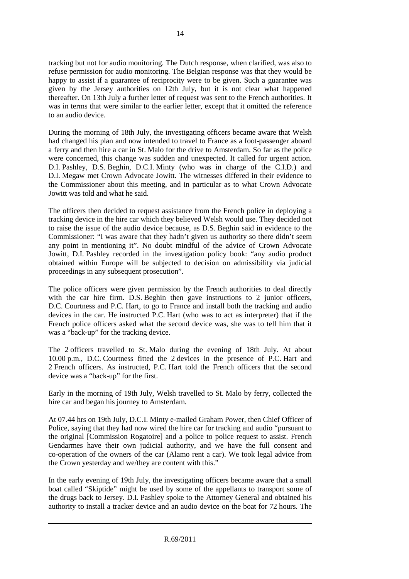tracking but not for audio monitoring. The Dutch response, when clarified, was also to refuse permission for audio monitoring. The Belgian response was that they would be happy to assist if a guarantee of reciprocity were to be given. Such a guarantee was given by the Jersey authorities on 12th July, but it is not clear what happened thereafter. On 13th July a further letter of request was sent to the French authorities. It was in terms that were similar to the earlier letter, except that it omitted the reference to an audio device.

During the morning of 18th July, the investigating officers became aware that Welsh had changed his plan and now intended to travel to France as a foot-passenger aboard a ferry and then hire a car in St. Malo for the drive to Amsterdam. So far as the police were concerned, this change was sudden and unexpected. It called for urgent action. D.I. Pashley, D.S. Beghin, D.C.I. Minty (who was in charge of the C.I.D.) and D.I. Megaw met Crown Advocate Jowitt. The witnesses differed in their evidence to the Commissioner about this meeting, and in particular as to what Crown Advocate Jowitt was told and what he said.

The officers then decided to request assistance from the French police in deploying a tracking device in the hire car which they believed Welsh would use. They decided not to raise the issue of the audio device because, as D.S. Beghin said in evidence to the Commissioner: "I was aware that they hadn't given us authority so there didn't seem any point in mentioning it". No doubt mindful of the advice of Crown Advocate Jowitt, D.I. Pashley recorded in the investigation policy book: "any audio product obtained within Europe will be subjected to decision on admissibility via judicial proceedings in any subsequent prosecution".

The police officers were given permission by the French authorities to deal directly with the car hire firm. D.S. Beghin then gave instructions to 2 junior officers, D.C. Courtness and P.C. Hart, to go to France and install both the tracking and audio devices in the car. He instructed P.C. Hart (who was to act as interpreter) that if the French police officers asked what the second device was, she was to tell him that it was a "back-up" for the tracking device.

The 2 officers travelled to St. Malo during the evening of 18th July. At about 10.00 p.m., D.C. Courtness fitted the 2 devices in the presence of P.C. Hart and 2 French officers. As instructed, P.C. Hart told the French officers that the second device was a "back-up" for the first.

Early in the morning of 19th July, Welsh travelled to St. Malo by ferry, collected the hire car and began his journey to Amsterdam.

At 07.44 hrs on 19th July, D.C.I. Minty e-mailed Graham Power, then Chief Officer of Police, saying that they had now wired the hire car for tracking and audio "pursuant to the original [Commission Rogatoire] and a police to police request to assist. French Gendarmes have their own judicial authority, and we have the full consent and co-operation of the owners of the car (Alamo rent a car). We took legal advice from the Crown yesterday and we/they are content with this."

In the early evening of 19th July, the investigating officers became aware that a small boat called "Skiptide" might be used by some of the appellants to transport some of the drugs back to Jersey. D.I. Pashley spoke to the Attorney General and obtained his authority to install a tracker device and an audio device on the boat for 72 hours. The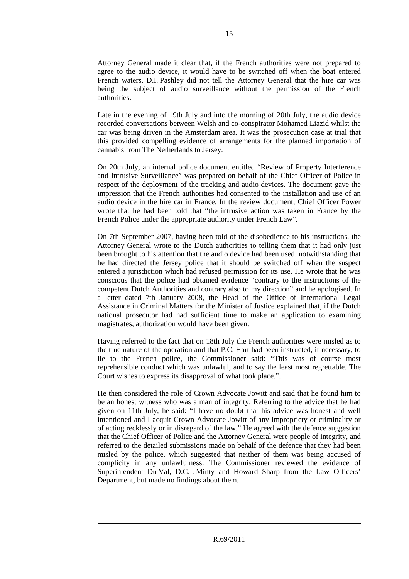Attorney General made it clear that, if the French authorities were not prepared to agree to the audio device, it would have to be switched off when the boat entered French waters. D.I. Pashley did not tell the Attorney General that the hire car was being the subject of audio surveillance without the permission of the French authorities.

Late in the evening of 19th July and into the morning of 20th July, the audio device recorded conversations between Welsh and co-conspirator Mohamed Liazid whilst the car was being driven in the Amsterdam area. It was the prosecution case at trial that this provided compelling evidence of arrangements for the planned importation of cannabis from The Netherlands to Jersey.

On 20th July, an internal police document entitled "Review of Property Interference and Intrusive Surveillance" was prepared on behalf of the Chief Officer of Police in respect of the deployment of the tracking and audio devices. The document gave the impression that the French authorities had consented to the installation and use of an audio device in the hire car in France. In the review document, Chief Officer Power wrote that he had been told that "the intrusive action was taken in France by the French Police under the appropriate authority under French Law".

On 7th September 2007, having been told of the disobedience to his instructions, the Attorney General wrote to the Dutch authorities to telling them that it had only just been brought to his attention that the audio device had been used, notwithstanding that he had directed the Jersey police that it should be switched off when the suspect entered a jurisdiction which had refused permission for its use. He wrote that he was conscious that the police had obtained evidence "contrary to the instructions of the competent Dutch Authorities and contrary also to my direction" and he apologised. In a letter dated 7th January 2008, the Head of the Office of International Legal Assistance in Criminal Matters for the Minister of Justice explained that, if the Dutch national prosecutor had had sufficient time to make an application to examining magistrates, authorization would have been given.

Having referred to the fact that on 18th July the French authorities were misled as to the true nature of the operation and that P.C. Hart had been instructed, if necessary, to lie to the French police, the Commissioner said: "This was of course most reprehensible conduct which was unlawful, and to say the least most regrettable. The Court wishes to express its disapproval of what took place.".

He then considered the role of Crown Advocate Jowitt and said that he found him to be an honest witness who was a man of integrity. Referring to the advice that he had given on 11th July, he said: "I have no doubt that his advice was honest and well intentioned and I acquit Crown Advocate Jowitt of any impropriety or criminality or of acting recklessly or in disregard of the law." He agreed with the defence suggestion that the Chief Officer of Police and the Attorney General were people of integrity, and referred to the detailed submissions made on behalf of the defence that they had been misled by the police, which suggested that neither of them was being accused of complicity in any unlawfulness. The Commissioner reviewed the evidence of Superintendent Du Val, D.C.I. Minty and Howard Sharp from the Law Officers' Department, but made no findings about them.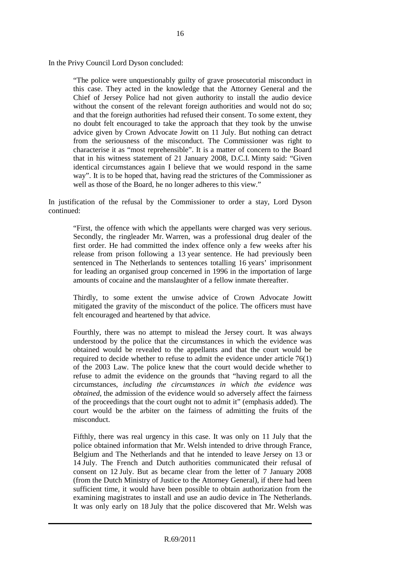In the Privy Council Lord Dyson concluded:

"The police were unquestionably guilty of grave prosecutorial misconduct in this case. They acted in the knowledge that the Attorney General and the Chief of Jersey Police had not given authority to install the audio device without the consent of the relevant foreign authorities and would not do so; and that the foreign authorities had refused their consent. To some extent, they no doubt felt encouraged to take the approach that they took by the unwise advice given by Crown Advocate Jowitt on 11 July. But nothing can detract from the seriousness of the misconduct. The Commissioner was right to characterise it as "most reprehensible". It is a matter of concern to the Board that in his witness statement of 21 January 2008, D.C.I. Minty said: "Given identical circumstances again I believe that we would respond in the same way". It is to be hoped that, having read the strictures of the Commissioner as well as those of the Board, he no longer adheres to this view."

In justification of the refusal by the Commissioner to order a stay, Lord Dyson continued:

"First, the offence with which the appellants were charged was very serious. Secondly, the ringleader Mr. Warren, was a professional drug dealer of the first order. He had committed the index offence only a few weeks after his release from prison following a 13 year sentence. He had previously been sentenced in The Netherlands to sentences totalling 16 years' imprisonment for leading an organised group concerned in 1996 in the importation of large amounts of cocaine and the manslaughter of a fellow inmate thereafter.

Thirdly, to some extent the unwise advice of Crown Advocate Jowitt mitigated the gravity of the misconduct of the police. The officers must have felt encouraged and heartened by that advice.

Fourthly, there was no attempt to mislead the Jersey court. It was always understood by the police that the circumstances in which the evidence was obtained would be revealed to the appellants and that the court would be required to decide whether to refuse to admit the evidence under article 76(1) of the 2003 Law. The police knew that the court would decide whether to refuse to admit the evidence on the grounds that "having regard to all the circumstances, *including the circumstances in which the evidence was obtained*, the admission of the evidence would so adversely affect the fairness of the proceedings that the court ought not to admit it" (emphasis added). The court would be the arbiter on the fairness of admitting the fruits of the misconduct.

Fifthly, there was real urgency in this case. It was only on 11 July that the police obtained information that Mr. Welsh intended to drive through France, Belgium and The Netherlands and that he intended to leave Jersey on 13 or 14 July. The French and Dutch authorities communicated their refusal of consent on 12 July. But as became clear from the letter of 7 January 2008 (from the Dutch Ministry of Justice to the Attorney General), if there had been sufficient time, it would have been possible to obtain authorization from the examining magistrates to install and use an audio device in The Netherlands. It was only early on 18 July that the police discovered that Mr. Welsh was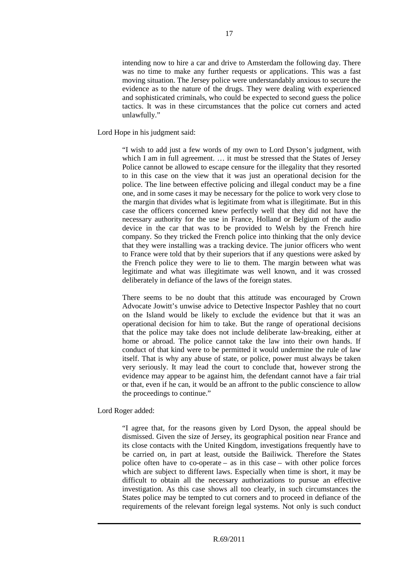intending now to hire a car and drive to Amsterdam the following day. There was no time to make any further requests or applications. This was a fast moving situation. The Jersey police were understandably anxious to secure the evidence as to the nature of the drugs. They were dealing with experienced and sophisticated criminals, who could be expected to second guess the police tactics. It was in these circumstances that the police cut corners and acted unlawfully."

Lord Hope in his judgment said:

"I wish to add just a few words of my own to Lord Dyson's judgment, with which I am in full agreement. ... it must be stressed that the States of Jersey Police cannot be allowed to escape censure for the illegality that they resorted to in this case on the view that it was just an operational decision for the police. The line between effective policing and illegal conduct may be a fine one, and in some cases it may be necessary for the police to work very close to the margin that divides what is legitimate from what is illegitimate. But in this case the officers concerned knew perfectly well that they did not have the necessary authority for the use in France, Holland or Belgium of the audio device in the car that was to be provided to Welsh by the French hire company. So they tricked the French police into thinking that the only device that they were installing was a tracking device. The junior officers who went to France were told that by their superiors that if any questions were asked by the French police they were to lie to them. The margin between what was legitimate and what was illegitimate was well known, and it was crossed deliberately in defiance of the laws of the foreign states.

There seems to be no doubt that this attitude was encouraged by Crown Advocate Jowitt's unwise advice to Detective Inspector Pashley that no court on the Island would be likely to exclude the evidence but that it was an operational decision for him to take. But the range of operational decisions that the police may take does not include deliberate law-breaking, either at home or abroad. The police cannot take the law into their own hands. If conduct of that kind were to be permitted it would undermine the rule of law itself. That is why any abuse of state, or police, power must always be taken very seriously. It may lead the court to conclude that, however strong the evidence may appear to be against him, the defendant cannot have a fair trial or that, even if he can, it would be an affront to the public conscience to allow the proceedings to continue."

Lord Roger added:

"I agree that, for the reasons given by Lord Dyson, the appeal should be dismissed. Given the size of Jersey, its geographical position near France and its close contacts with the United Kingdom, investigations frequently have to be carried on, in part at least, outside the Bailiwick. Therefore the States police often have to co-operate – as in this case – with other police forces which are subject to different laws. Especially when time is short, it may be difficult to obtain all the necessary authorizations to pursue an effective investigation. As this case shows all too clearly, in such circumstances the States police may be tempted to cut corners and to proceed in defiance of the requirements of the relevant foreign legal systems. Not only is such conduct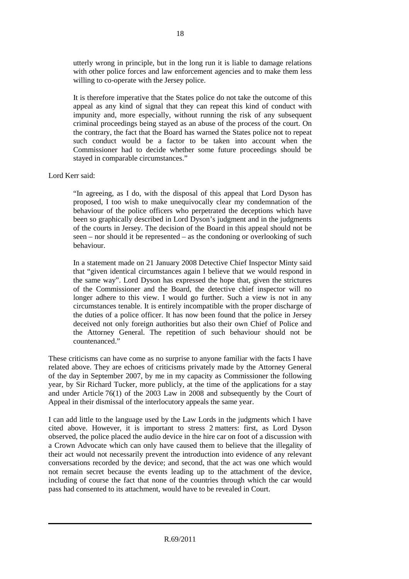utterly wrong in principle, but in the long run it is liable to damage relations with other police forces and law enforcement agencies and to make them less willing to co-operate with the Jersey police.

It is therefore imperative that the States police do not take the outcome of this appeal as any kind of signal that they can repeat this kind of conduct with impunity and, more especially, without running the risk of any subsequent criminal proceedings being stayed as an abuse of the process of the court. On the contrary, the fact that the Board has warned the States police not to repeat such conduct would be a factor to be taken into account when the Commissioner had to decide whether some future proceedings should be stayed in comparable circumstances."

Lord Kerr said:

"In agreeing, as I do, with the disposal of this appeal that Lord Dyson has proposed, I too wish to make unequivocally clear my condemnation of the behaviour of the police officers who perpetrated the deceptions which have been so graphically described in Lord Dyson's judgment and in the judgments of the courts in Jersey. The decision of the Board in this appeal should not be seen – nor should it be represented – as the condoning or overlooking of such behaviour.

In a statement made on 21 January 2008 Detective Chief Inspector Minty said that "given identical circumstances again I believe that we would respond in the same way". Lord Dyson has expressed the hope that, given the strictures of the Commissioner and the Board, the detective chief inspector will no longer adhere to this view. I would go further. Such a view is not in any circumstances tenable. It is entirely incompatible with the proper discharge of the duties of a police officer. It has now been found that the police in Jersey deceived not only foreign authorities but also their own Chief of Police and the Attorney General. The repetition of such behaviour should not be countenanced."

These criticisms can have come as no surprise to anyone familiar with the facts I have related above. They are echoes of criticisms privately made by the Attorney General of the day in September 2007, by me in my capacity as Commissioner the following year, by Sir Richard Tucker, more publicly, at the time of the applications for a stay and under Article 76(1) of the 2003 Law in 2008 and subsequently by the Court of Appeal in their dismissal of the interlocutory appeals the same year.

I can add little to the language used by the Law Lords in the judgments which I have cited above. However, it is important to stress 2 matters: first, as Lord Dyson observed, the police placed the audio device in the hire car on foot of a discussion with a Crown Advocate which can only have caused them to believe that the illegality of their act would not necessarily prevent the introduction into evidence of any relevant conversations recorded by the device; and second, that the act was one which would not remain secret because the events leading up to the attachment of the device, including of course the fact that none of the countries through which the car would pass had consented to its attachment, would have to be revealed in Court.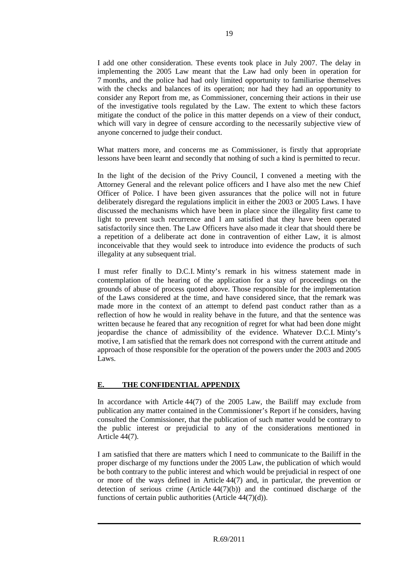I add one other consideration. These events took place in July 2007. The delay in implementing the 2005 Law meant that the Law had only been in operation for 7 months, and the police had had only limited opportunity to familiarise themselves with the checks and balances of its operation; nor had they had an opportunity to consider any Report from me, as Commissioner, concerning their actions in their use of the investigative tools regulated by the Law. The extent to which these factors mitigate the conduct of the police in this matter depends on a view of their conduct, which will vary in degree of censure according to the necessarily subjective view of anyone concerned to judge their conduct.

What matters more, and concerns me as Commissioner, is firstly that appropriate lessons have been learnt and secondly that nothing of such a kind is permitted to recur.

In the light of the decision of the Privy Council, I convened a meeting with the Attorney General and the relevant police officers and I have also met the new Chief Officer of Police. I have been given assurances that the police will not in future deliberately disregard the regulations implicit in either the 2003 or 2005 Laws. I have discussed the mechanisms which have been in place since the illegality first came to light to prevent such recurrence and I am satisfied that they have been operated satisfactorily since then. The Law Officers have also made it clear that should there be a repetition of a deliberate act done in contravention of either Law, it is almost inconceivable that they would seek to introduce into evidence the products of such illegality at any subsequent trial.

I must refer finally to D.C.I. Minty's remark in his witness statement made in contemplation of the hearing of the application for a stay of proceedings on the grounds of abuse of process quoted above. Those responsible for the implementation of the Laws considered at the time, and have considered since, that the remark was made more in the context of an attempt to defend past conduct rather than as a reflection of how he would in reality behave in the future, and that the sentence was written because he feared that any recognition of regret for what had been done might jeopardise the chance of admissibility of the evidence. Whatever D.C.I. Minty's motive, I am satisfied that the remark does not correspond with the current attitude and approach of those responsible for the operation of the powers under the 2003 and 2005 Laws.

# **E. THE CONFIDENTIAL APPENDIX**

In accordance with Article 44(7) of the 2005 Law, the Bailiff may exclude from publication any matter contained in the Commissioner's Report if he considers, having consulted the Commissioner, that the publication of such matter would be contrary to the public interest or prejudicial to any of the considerations mentioned in Article 44(7).

I am satisfied that there are matters which I need to communicate to the Bailiff in the proper discharge of my functions under the 2005 Law, the publication of which would be both contrary to the public interest and which would be prejudicial in respect of one or more of the ways defined in Article 44(7) and, in particular, the prevention or detection of serious crime  $(A$ rticle  $44(7)(b)$  and the continued discharge of the functions of certain public authorities (Article 44(7)(d)).